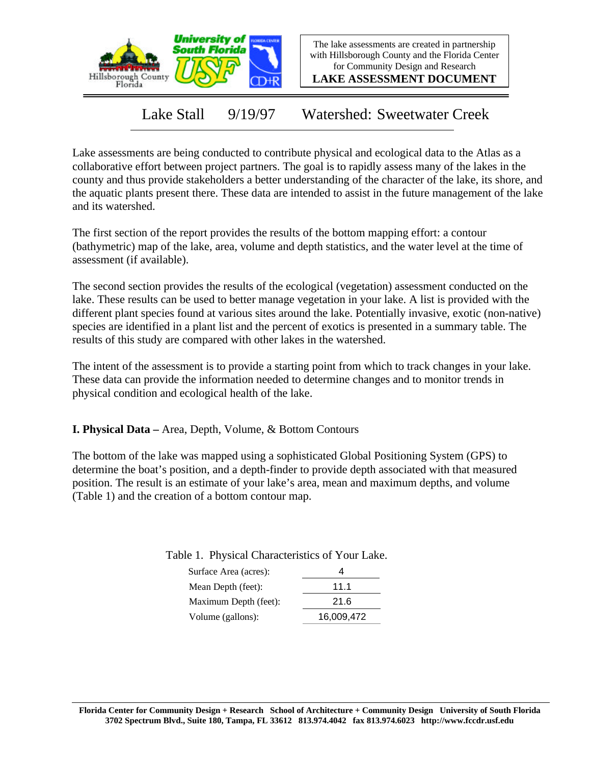

The lake assessments are created in partnership with Hillsborough County and the Florida Center for Community Design and Research

**LAKE ASSESSMENT DOCUMENT**

Lake Stall 9/19/97 Watershed: Sweetwater Creek

Lake assessments are being conducted to contribute physical and ecological data to the Atlas as a collaborative effort between project partners. The goal is to rapidly assess many of the lakes in the county and thus provide stakeholders a better understanding of the character of the lake, its shore, and the aquatic plants present there. These data are intended to assist in the future management of the lake and its watershed.

The first section of the report provides the results of the bottom mapping effort: a contour (bathymetric) map of the lake, area, volume and depth statistics, and the water level at the time of assessment (if available).

The second section provides the results of the ecological (vegetation) assessment conducted on the lake. These results can be used to better manage vegetation in your lake. A list is provided with the different plant species found at various sites around the lake. Potentially invasive, exotic (non-native) species are identified in a plant list and the percent of exotics is presented in a summary table. The results of this study are compared with other lakes in the watershed.

The intent of the assessment is to provide a starting point from which to track changes in your lake. These data can provide the information needed to determine changes and to monitor trends in physical condition and ecological health of the lake.

**I. Physical Data –** Area, Depth, Volume, & Bottom Contours

The bottom of the lake was mapped using a sophisticated Global Positioning System (GPS) to determine the boat's position, and a depth-finder to provide depth associated with that measured position. The result is an estimate of your lake's area, mean and maximum depths, and volume (Table 1) and the creation of a bottom contour map.

| Surface Area (acres): |            |
|-----------------------|------------|
| Mean Depth (feet):    | 11.1       |
| Maximum Depth (feet): | 21.6       |
| Volume (gallons):     | 16,009,472 |

Table 1. Physical Characteristics of Your Lake.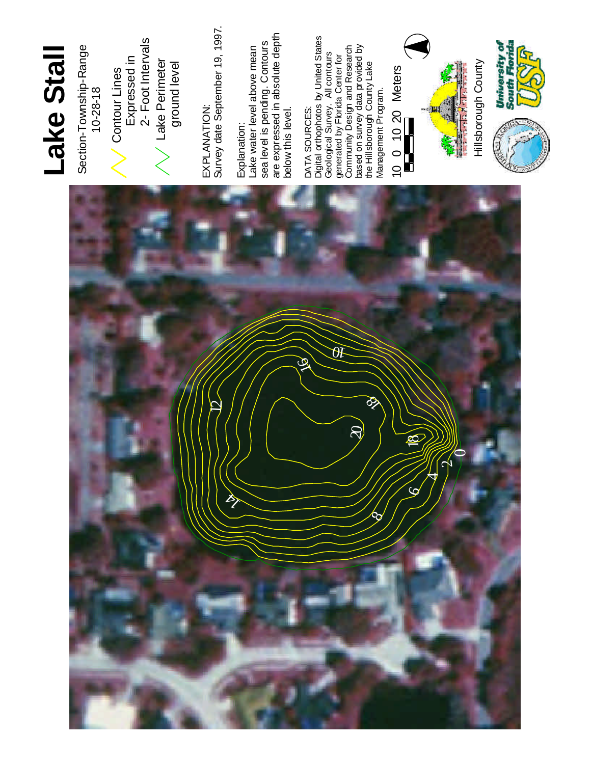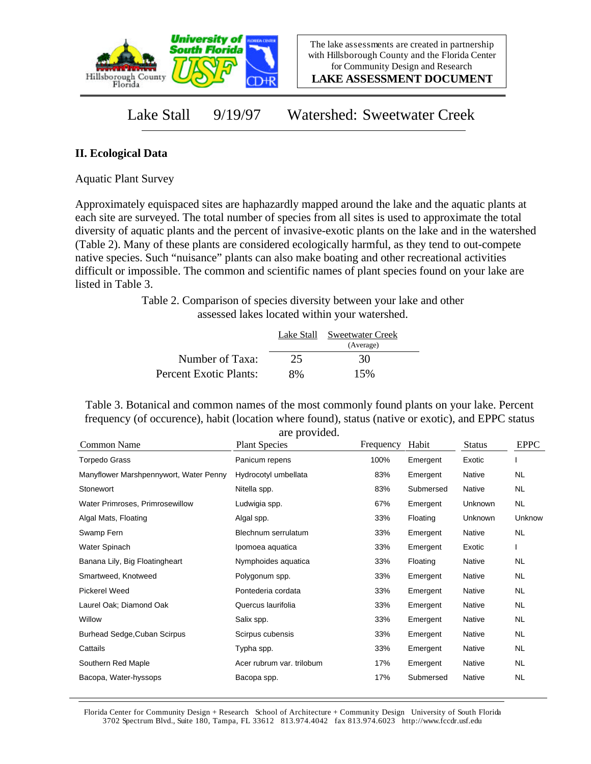

**LAKE ASSESSMENT DOCUMENT**

## Lake Stall 9/19/97 Watershed: Sweetwater Creek

## **II. Ecological Data**

Aquatic Plant Survey

Approximately equispaced sites are haphazardly mapped around the lake and the aquatic plants at each site are surveyed. The total number of species from all sites is used to approximate the total diversity of aquatic plants and the percent of invasive-exotic plants on the lake and in the watershed (Table 2). Many of these plants are considered ecologically harmful, as they tend to out-compete native species. Such "nuisance" plants can also make boating and other recreational activities difficult or impossible. The common and scientific names of plant species found on your lake are listed in Table 3.

> Table 2. Comparison of species diversity between your lake and other assessed lakes located within your watershed.

|                        |    | Lake Stall Sweetwater Creek<br>(Average) |  |
|------------------------|----|------------------------------------------|--|
| Number of Taxa:        | 25 | 30                                       |  |
| Percent Exotic Plants: | 8% | 15%                                      |  |

Table 3. Botanical and common names of the most commonly found plants on your lake. Percent frequency (of occurence), habit (location where found), status (native or exotic), and EPPC status are provided.

| Common Name                            | <b>Plant Species</b>      | Frequency | Habit     | <b>Status</b> | <b>EPPC</b> |
|----------------------------------------|---------------------------|-----------|-----------|---------------|-------------|
| <b>Torpedo Grass</b>                   | Panicum repens            | 100%      | Emergent  | Exotic        |             |
| Manyflower Marshpennywort, Water Penny | Hydrocotyl umbellata      | 83%       | Emergent  | Native        | <b>NL</b>   |
| Stonewort                              | Nitella spp.              | 83%       | Submersed | Native        | <b>NL</b>   |
| Water Primroses, Primrosewillow        | Ludwigia spp.             | 67%       | Emergent  | Unknown       | <b>NL</b>   |
| Algal Mats, Floating                   | Algal spp.                | 33%       | Floating  | Unknown       | Unknow      |
| Swamp Fern                             | Blechnum serrulatum       | 33%       | Emergent  | Native        | <b>NL</b>   |
| Water Spinach                          | Ipomoea aquatica          | 33%       | Emergent  | Exotic        |             |
| Banana Lily, Big Floatingheart         | Nymphoides aquatica       | 33%       | Floating  | Native        | <b>NL</b>   |
| Smartweed, Knotweed                    | Polygonum spp.            | 33%       | Emergent  | Native        | <b>NL</b>   |
| Pickerel Weed                          | Pontederia cordata        | 33%       | Emergent  | Native        | <b>NL</b>   |
| Laurel Oak; Diamond Oak                | Quercus laurifolia        | 33%       | Emergent  | Native        | <b>NL</b>   |
| Willow                                 | Salix spp.                | 33%       | Emergent  | Native        | <b>NL</b>   |
| Burhead Sedge, Cuban Scirpus           | Scirpus cubensis          | 33%       | Emergent  | Native        | <b>NL</b>   |
| Cattails                               | Typha spp.                | 33%       | Emergent  | Native        | <b>NL</b>   |
| Southern Red Maple                     | Acer rubrum var. trilobum | 17%       | Emergent  | Native        | <b>NL</b>   |
| Bacopa, Water-hyssops                  | Bacopa spp.               | 17%       | Submersed | Native        | <b>NL</b>   |

Florida Center for Community Design + Research School of Architecture + Community Design University of South Florida 3702 Spectrum Blvd., Suite 180, Tampa, FL 33612 813.974.4042 fax 813.974.6023 http://www.fccdr.usf.edu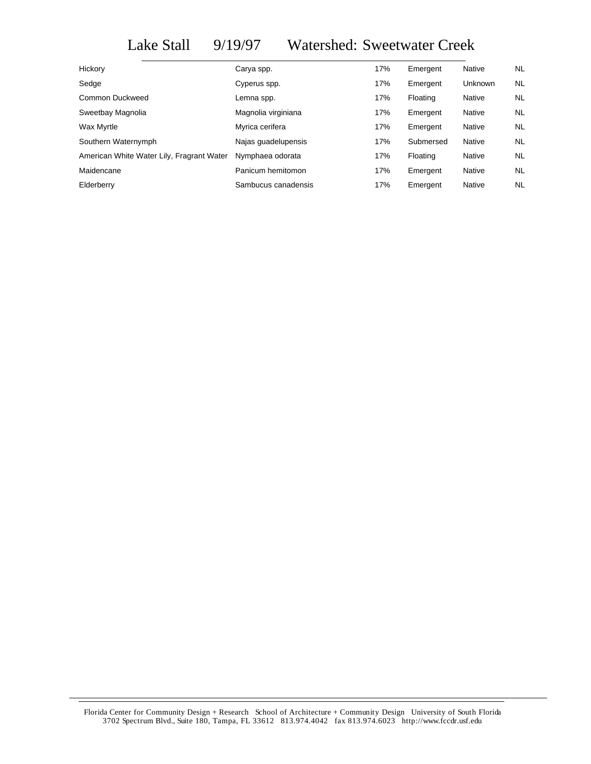## Lake Stall 9/19/97 Watershed: Sweetwater Creek

| Hickory                                   | Carya spp.          | 17% | Emergent  | Native         | NL.       |
|-------------------------------------------|---------------------|-----|-----------|----------------|-----------|
| Sedge                                     | Cyperus spp.        | 17% | Emergent  | <b>Unknown</b> | NL.       |
| Common Duckweed                           | Lemna spp.          | 17% | Floating  | Native         | <b>NL</b> |
| Sweetbay Magnolia                         | Magnolia virginiana | 17% | Emergent  | Native         | <b>NL</b> |
| Wax Myrtle                                | Myrica cerifera     | 17% | Emergent  | Native         | <b>NL</b> |
| Southern Waternymph                       | Najas guadelupensis | 17% | Submersed | Native         | <b>NL</b> |
| American White Water Lily, Fragrant Water | Nymphaea odorata    | 17% | Floating  | Native         | NL.       |
| Maidencane                                | Panicum hemitomon   | 17% | Emergent  | Native         | NL.       |
| Elderberry                                | Sambucus canadensis | 17% | Emergent  | Native         | <b>NL</b> |
|                                           |                     |     |           |                |           |

Florida Center for Community Design + Research School of Architecture + Community Design University of South Florida 3702 Spectrum Blvd., Suite 180, Tampa, FL 33612 813.974.4042 fax 813.974.6023 http://www.fccdr.usf.edu